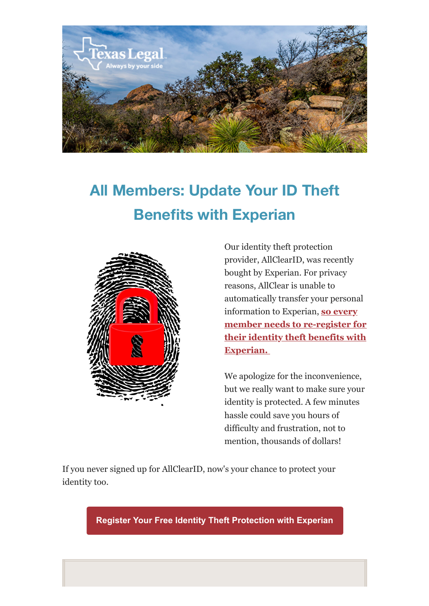

## **All Members: Update Your ID Theft Benefits with Experian**



Our identity theft protection provider, AllClearID, was recently bought by Experian. For privacy reasons, AllClear is unable to automatically transfer your personal information to Experian, **[so every](https://texaslegal.org/texaslegal-blog/new-id-theft-benefits-every-texas-legal-member) [member needs to re-register for](https://texaslegal.org/texaslegal-blog/new-id-theft-benefits-every-texas-legal-member) [their identity theft benefits with](https://texaslegal.org/texaslegal-blog/new-id-theft-benefits-every-texas-legal-member) [Experian.](https://texaslegal.org/texaslegal-blog/new-id-theft-benefits-every-texas-legal-member)** 

We apologize for the inconvenience, but we really want to make sure your identity is protected. A few minutes hassle could save you hours of difficulty and frustration, not to mention, thousands of dollars!

If you never signed up for AllClearID, now's your chance to protect your identity too.

**Register Your Free Identity Theft Protection with Experian**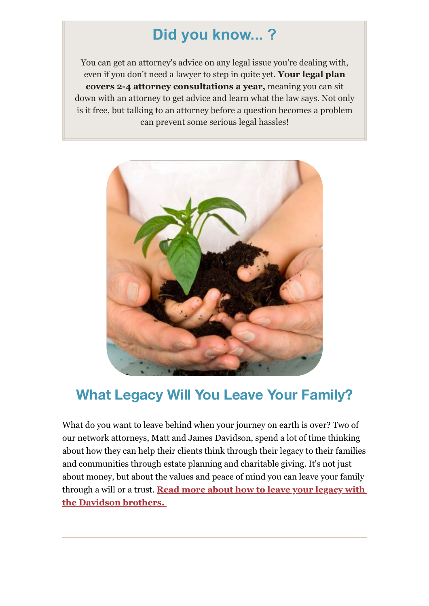## **Did you know... ?**

You can get an attorney's advice on any legal issue you're dealing with, even if you don't need a lawyer to step in quite yet. **Your legal plan covers 2-4 attorney consultations a year,** meaning you can sit down with an attorney to get advice and learn what the law says. Not only is it free, but talking to an attorney before a question becomes a problem can prevent some serious legal hassles!



## **What Legacy Will You Leave Your Family?**

What do you want to leave behind when your journey on earth is over? Two of our network attorneys, Matt and James Davidson, spend a lot of time thinking about how they can help their clients think through their legacy to their families and communities through estate planning and charitable giving. It's not just about money, but about the values and peace of mind you can leave your family through a will or a trust. **[Read more about how to leave your legacy with](https://texaslegal.org/texaslegal-blog/leave-a-legacy-how-to-give-a-charitable-gift-through-your-will-or-trust-in-texas) [the Davidson brothers.](https://texaslegal.org/texaslegal-blog/leave-a-legacy-how-to-give-a-charitable-gift-through-your-will-or-trust-in-texas)**